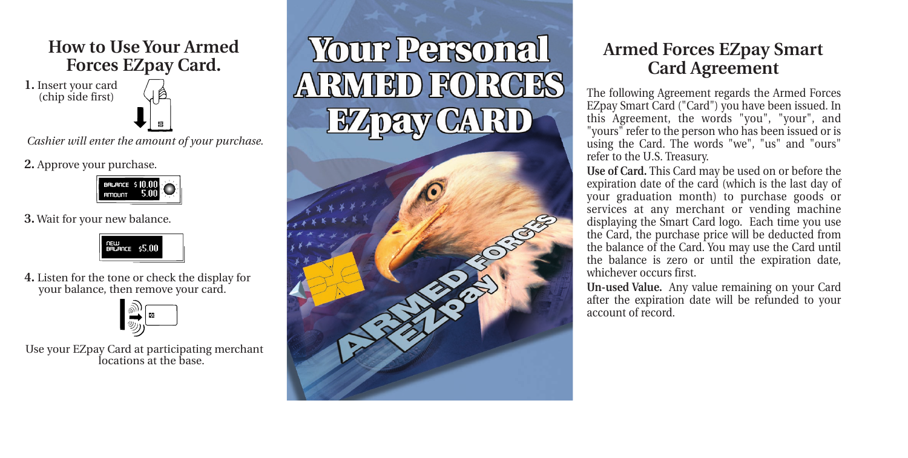

*Cashier will enter the amount of your purchase.*

**2.** Approve your purchase.



**3.** Wait for your new balance.



**4.** Listen for the tone or check the display for your balance, then remove your card.



Use your EZpay Card at participating merchant locations at the base.



## **Armed Forces EZpay Smart Card Agreement**

The following Agreement regards the Armed Forces EZpay Smart Card ("Card") you have been issued. In this Agreement, the words "you", "your", and "yours" refer to the person who has been issued or is using the Card. The words "we", "us" and "ours" refer to the U.S. Treasury.

**Use of Card.** This Card may be used on or before the expiration date of the card (which is the last day of your graduation month) to purchase goods or services at any merchant or vending machine displaying the Smart Card logo. Each time you use the Card, the purchase price will be deducted from the balance of the Card. You may use the Card until the balance is zero or until the expiration date, whichever occurs first.

**Un-used Value.** Any value remaining on your Card after the expiration date will be refunded to your account of record.